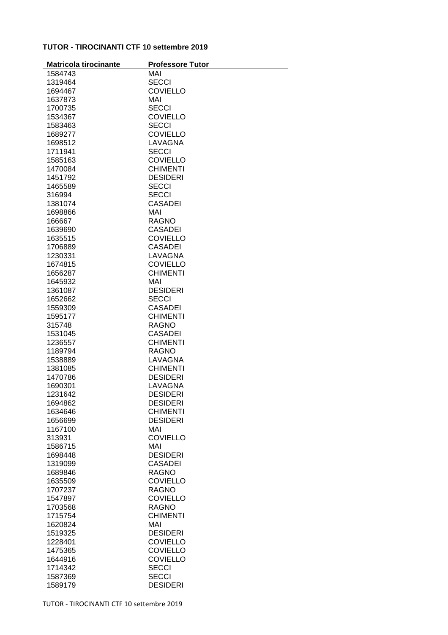## **TUTOR - TIROCINANTI CTF 10 settembre 2019**

| <b>Matricola tirocinante</b> | <b>Professore Tutor</b> |
|------------------------------|-------------------------|
| 1584743                      | MAI                     |
| 1319464                      | <b>SECCI</b>            |
| 1694467                      | <b>COVIELLO</b>         |
| 1637873                      | MAI                     |
| 1700735                      | <b>SECCI</b>            |
| 1534367                      | <b>COVIELLO</b>         |
| 1583463                      | SECCI                   |
| 1689277                      | <b>COVIELLO</b>         |
| 1698512                      | LAVAGNA                 |
| 1711941                      | <b>SECCI</b>            |
|                              |                         |
| 1585163                      | <b>COVIELLO</b>         |
| 1470084                      | <b>CHIMENTI</b>         |
| 1451792                      | <b>DESIDERI</b>         |
| 1465589                      | <b>SECCI</b>            |
| 316994                       | <b>SECCI</b>            |
| 1381074                      | <b>CASADEI</b>          |
| 1698866                      | MAI                     |
| 166667                       | <b>RAGNO</b>            |
| 1639690                      | <b>CASADEI</b>          |
| 1635515                      | <b>COVIELLO</b>         |
| 1706889                      | <b>CASADEI</b>          |
| 1230331                      | LAVAGNA                 |
| 1674815                      | <b>COVIELLO</b>         |
| 1656287                      | <b>CHIMENTI</b>         |
| 1645932                      | MAI                     |
| 1361087                      | <b>DESIDERI</b>         |
| 1652662                      | <b>SECCI</b>            |
| 1559309                      | <b>CASADEI</b>          |
| 1595177                      | <b>CHIMENTI</b>         |
| 315748                       | <b>RAGNO</b>            |
| 1531045                      | <b>CASADEI</b>          |
| 1236557                      | <b>CHIMENTI</b>         |
| 1189794                      | <b>RAGNO</b>            |
| 1538889                      | LAVAGNA                 |
| 1381085                      | <b>CHIMENTI</b>         |
| 1470786                      | <b>DESIDERI</b>         |
| 1690301                      | LAVAGNA                 |
| 1231642                      | <b>DESIDERI</b>         |
| 1694862                      | <b>DESIDERI</b>         |
| 1634646                      | <b>CHIMENTI</b>         |
| 1656699                      | <b>DESIDERI</b>         |
| 1167100                      | MAI                     |
| 313931                       | <b>COVIELLO</b>         |
| 1586715                      | MAI                     |
| 1698448                      | <b>DESIDERI</b>         |
| 1319099                      | <b>CASADEI</b>          |
| 1689846                      | <b>RAGNO</b>            |
| 1635509                      | <b>COVIELLO</b>         |
| 1707237                      | <b>RAGNO</b>            |
| 1547897                      | <b>COVIELLO</b>         |
| 1703568                      | <b>RAGNO</b>            |
| 1715754                      | <b>CHIMENTI</b>         |
| 1620824                      | MAI                     |
| 1519325                      | <b>DESIDERI</b>         |
| 1228401                      | <b>COVIELLO</b>         |
| 1475365                      | <b>COVIELLO</b>         |
| 1644916                      | <b>COVIELLO</b>         |
| 1714342                      | <b>SECCI</b>            |
| 1587369                      | <b>SECCI</b>            |
|                              |                         |
| 1589179                      | <b>DESIDERI</b>         |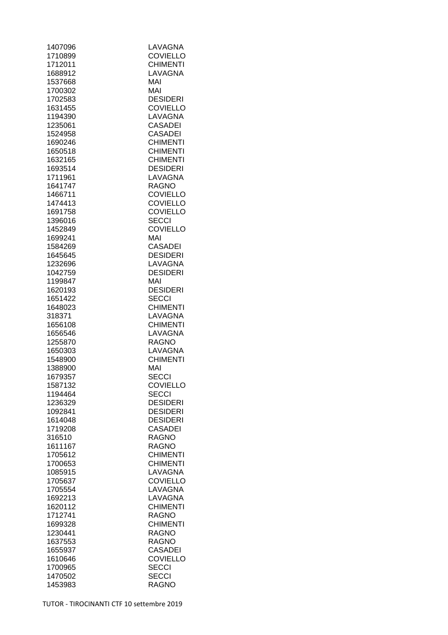| 1407096            | LAVAGNA                            |
|--------------------|------------------------------------|
| 1710899            | <b>COVIELLO</b>                    |
| 1712011            | <b>CHIMENTI</b>                    |
| 1688912            | LAVAGNA                            |
| 1537668            | MAI                                |
| 1700302            | MAI                                |
| 1702583            | <b>DESIDERI</b>                    |
| 1631455            | <b>COVIELLO</b>                    |
| 1194390            | LAVAGNA                            |
| 1235061            | CASADEI                            |
| 1524958            | <b>CASADEI</b>                     |
| 1690246            | <b>CHIMENTI</b>                    |
| 1650518            | <b>CHIMENTI</b>                    |
| 1632165            | <b>CHIMENTI</b>                    |
| 1693514            | <b>DESIDERI</b>                    |
| 1711961            | LAVAGNA                            |
| 1641747            | RAGNO                              |
| 1466711            | <b>COVIELLO</b>                    |
| 1474413            | <b>COVIELLO</b>                    |
| 1691758            | <b>COVIELLO</b>                    |
| 1396016            | <b>SECCI</b>                       |
| 1452849            | <b>COVIELLO</b>                    |
| 1699241            | MAI                                |
| 1584269            | <b>CASADEI</b>                     |
| 1645645            | <b>DESIDERI</b>                    |
| 1232696            | LAVAGNA                            |
| 1042759            | <b>DESIDERI</b>                    |
| 1199847            | MAI                                |
| 1620193            | <b>DESIDERI</b>                    |
| 1651422            | SECCI                              |
| 1648023            | <b>CHIMENTI</b>                    |
| 318371             | LAVAGNA                            |
| 1656108            | <b>CHIMENTI</b>                    |
| 1656546            | LAVAGNA                            |
| 1255870            | RAGNO                              |
| 1650303            | LAVAGNA                            |
| 1548900            | <b>CHIMENTI</b>                    |
| 1388900            | MAI                                |
| 1679357            | <b>SECCI</b>                       |
| 1587132            | <b>COVIELLO</b>                    |
| 1194464            | SECCI                              |
| 1236329            | <b>DESIDERI</b>                    |
| 1092841<br>1614048 | <b>DESIDERI</b><br><b>DESIDERI</b> |
| 1719208            | <b>CASADEI</b>                     |
| 316510             | <b>RAGNO</b>                       |
| 1611167            | <b>RAGNO</b>                       |
| 1705612            | <b>CHIMENTI</b>                    |
| 1700653            | <b>CHIMENTI</b>                    |
| 1085915            | LAVAGNA                            |
| 1705637            | <b>COVIELLO</b>                    |
| 1705554            | LAVAGNA                            |
| 1692213            | LAVAGNA                            |
| 1620112            | <b>CHIMENTI</b>                    |
| 1712741            | <b>RAGNO</b>                       |
| 1699328            | <b>CHIMENTI</b>                    |
| 1230441            | <b>RAGNO</b>                       |
| 1637553            | <b>RAGNO</b>                       |
| 1655937            | <b>CASADEI</b>                     |
| 1610646            | <b>COVIELLO</b>                    |
| 1700965            | <b>SECCI</b>                       |
| 1470502            | <b>SECCI</b>                       |
| 1453983            | <b>RAGNO</b>                       |
|                    |                                    |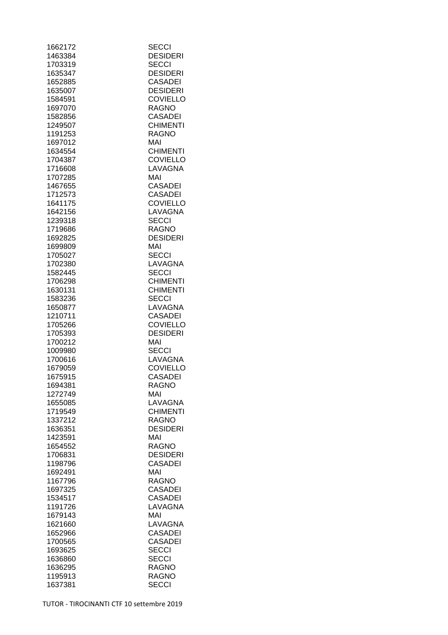| 1662172            | <b>SECCI</b>          |
|--------------------|-----------------------|
| 1463384            | <b>DESIDERI</b>       |
| 1703319            | SECCI                 |
| 1635347            | <b>DESIDERI</b>       |
| 1652885            | <b>CASADEI</b>        |
| 1635007            | <b>DESIDERI</b>       |
| 1584591            | <b>COVIELLO</b>       |
| 1697070            | <b>RAGNO</b>          |
| 1582856            | <b>CASADEI</b>        |
| 1249507            | <b>CHIMENTI</b>       |
| 1191253            | <b>RAGNO</b>          |
| 1697012            | MAI                   |
| 1634554            | <b>CHIMENTI</b>       |
| 1704387            | <b>COVIELLO</b>       |
| 1716608            | LAVAGNA               |
| 1707285            | MAI                   |
| 1467655            | <b>CASADEI</b>        |
|                    | <b>CASADEI</b>        |
| 1712573            |                       |
| 1641175            | <b>COVIELLO</b>       |
| 1642156            | LAVAGNA               |
| 1239318            | <b>SECCI</b>          |
| 1719686            | <b>RAGNO</b>          |
| 1692825            | <b>DESIDERI</b>       |
| 1699809            | MAI                   |
| 1705027            | <b>SECCI</b>          |
| 1702380            | LAVAGNA               |
| 1582445            | <b>SECCI</b>          |
| 1706298            | <b>CHIMENTI</b>       |
| 1630131            | <b>CHIMENTI</b>       |
| 1583236            | <b>SECCI</b>          |
| 1650877            | LAVAGNA               |
| 1210711            | <b>CASADEI</b>        |
| 1705266            | <b>COVIELLO</b>       |
| 1705393            | <b>DESIDERI</b>       |
| 1700212            | MAI                   |
| 1009980            | <b>SECCI</b>          |
| 1700616            | LAVAGNA               |
| 1679059            | <b>COVIELLO</b>       |
| 1675915            | <b>CASADEI</b>        |
| 1694381            | RAGNO                 |
| 1272749            | MAI                   |
| 1655085            | LAVAGNA               |
| 1719549            | <b>CHIMENTI</b>       |
| 1337212            | <b>RAGNO</b>          |
| 1636351            | <b>DESIDERI</b>       |
| 1423591            | MAI                   |
| 1654552            | <b>RAGNO</b>          |
| 1706831            | <b>DESIDERI</b>       |
|                    |                       |
| 1198796<br>1692491 | <b>CASADEI</b><br>MAI |
| 1167796            | <b>RAGNO</b>          |
|                    |                       |
| 1697325            | <b>CASADEI</b>        |
| 1534517            | CASADEI               |
| 1191726            | LAVAGNA               |
| 1679143            | MAI                   |
| 1621660            | LAVAGNA               |
| 1652966            | <b>CASADEI</b>        |
| 1700565            | <b>CASADEI</b>        |
| 1693625            | <b>SECCI</b>          |
| 1636860            | <b>SECCI</b>          |
| 1636295            | RAGNO                 |
| 1195913            | RAGNO                 |
| 1637381            | <b>SECCI</b>          |